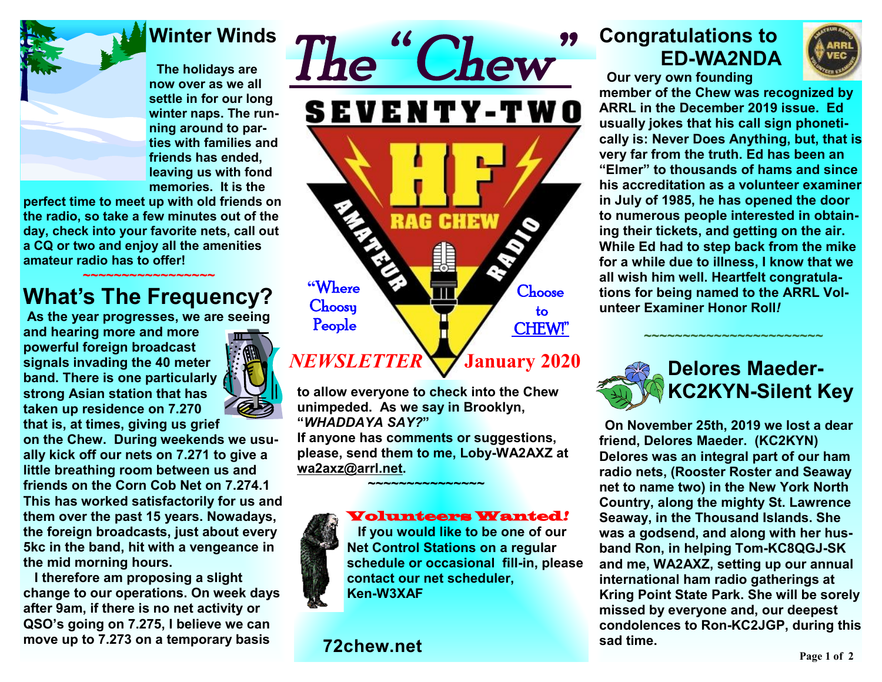

### **Winter Winds**

 **The holidays are now over as we all settle in for our long winter naps. The running around to parties with families and friends has ended, leaving us with fond memories. It is the** 

**perfect time to meet up with old friends on the radio, so take a few minutes out of the day, check into your favorite nets, call out a CQ or two and enjoy all the amenities amateur radio has to offer!**

### **~~~~~~~~~~~~~~~~~ What's The Frequency?**

**As the year progresses, we are seeing** 

**and hearing more and more powerful foreign broadcast signals invading the 40 meter band. There is one particularly strong Asian station that has taken up residence on 7.270 that is, at times, giving us grief** 



**on the Chew. During weekends we usually kick off our nets on 7.271 to give a little breathing room between us and friends on the Corn Cob Net on 7.274.1 This has worked satisfactorily for us and them over the past 15 years. Nowadays, the foreign broadcasts, just about every 5kc in the band, hit with a vengeance in the mid morning hours.** 

 **I therefore am proposing a slight change to our operations. On week days after 9am, if there is no net activity or QSO's going on 7.275, I believe we can move up to 7.273 on a temporary basis** 



# **January 2020**

**to allow everyone to check into the Chew unimpeded. As we say in Brooklyn, "***WHADDAYA SAY?***"** 

**If anyone has comments or suggestions, please, send them to me, Loby-WA2AXZ at [wa2axz@arrl.net](mailto:wa2axz@arrl.net). ~~~~~~~~~~~~~~~** 



#### Volunteers Wanted*!*

 **If you would like to be one of our Net Control Stations on a regular schedule or occasional fill-in, please contact our net scheduler, Ken-W3XAF** 

### **72chew.net**

## **Congratulations to ED-WA2NDA**





**member of the Chew was recognized by ARRL in the December 2019 issue. Ed usually jokes that his call sign phonetically is: Never Does Anything, but, that is very far from the truth. Ed has been an "Elmer" to thousands of hams and since his accreditation as a volunteer examiner in July of 1985, he has opened the door to numerous people interested in obtaining their tickets, and getting on the air. While Ed had to step back from the mike for a while due to illness, I know that we all wish him well. Heartfelt congratulations for being named to the ARRL Volunteer Examiner Honor Roll***!*



 **~~~~~~~~~~~~~~~~~~~~~~~**

 **On November 25th, 2019 we lost a dear friend, Delores Maeder. (KC2KYN) Delores was an integral part of our ham radio nets, (Rooster Roster and Seaway net to name two) in the New York North Country, along the mighty St. Lawrence Seaway, in the Thousand Islands. She was a godsend, and along with her husband Ron, in helping Tom-KC8QGJ-SK and me, WA2AXZ, setting up our annual international ham radio gatherings at Kring Point State Park. She will be sorely missed by everyone and, our deepest condolences to Ron-KC2JGP, during this sad time.**